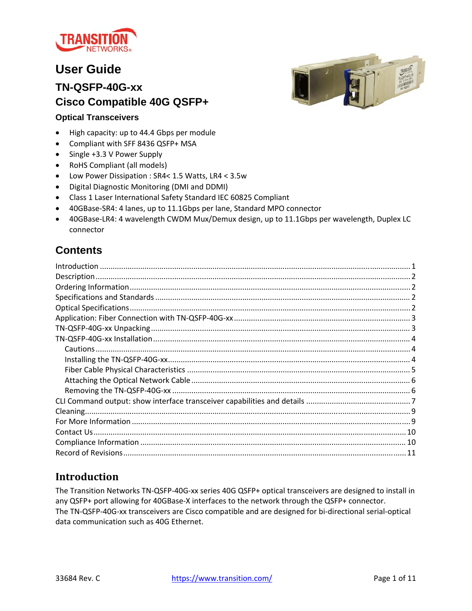

# **User Guide**

## **TN-QSFP-40G-xx Cisco Compatible 40G QSFP+**



#### **Optical Transceivers**

- High capacity: up to 44.4 Gbps per module
- Compliant with SFF 8436 QSFP+ MSA
- Single +3.3 V Power Supply
- RoHS Compliant (all models)
- Low Power Dissipation : SR4< 1.5 Watts, LR4 < 3.5w
- Digital Diagnostic Monitoring (DMI and DDMI)
- Class 1 Laser International Safety Standard IEC 60825 Compliant
- 40GBase-SR4: 4 lanes, up to 11.1Gbps per lane, Standard MPO connector
- 40GBase-LR4: 4 wavelength CWDM Mux/Demux design, up to 11.1Gbps per wavelength, Duplex LC connector

## **Contents**

### **Introduction**

The Transition Networks TN‐QSFP‐40G‐xx series 40G QSFP+ optical transceivers are designed to install in any QSFP+ port allowing for 40GBase-X interfaces to the network through the QSFP+ connector. The TN‐QSFP‐40G‐xx transceivers are Cisco compatible and are designed for bi‐directional serial‐optical data communication such as 40G Ethernet.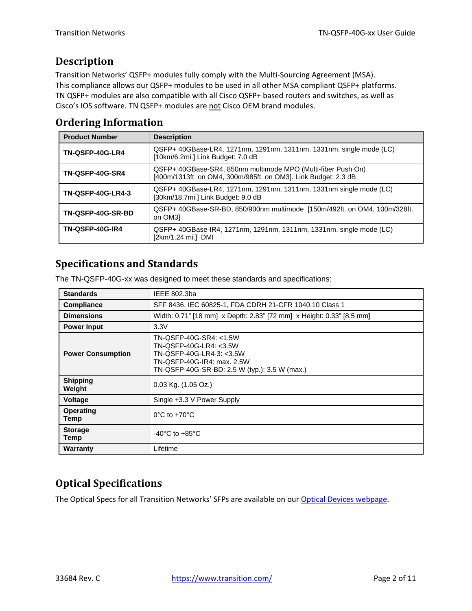## **Description**

Transition Networks' QSFP+ modules fully comply with the Multi‐Sourcing Agreement (MSA). This compliance allows our QSFP+ modules to be used in all other MSA compliant QSFP+ platforms. TN QSFP+ modules are also compatible with all Cisco QSFP+ based routers and switches, as well as Cisco's IOS software. TN QSFP+ modules are not Cisco OEM brand modules.

### **Ordering Information**

| <b>Product Number</b>    | <b>Description</b>                                                                                                             |
|--------------------------|--------------------------------------------------------------------------------------------------------------------------------|
| TN-QSFP-40G-LR4          | QSFP+ 40GBase-LR4, 1271nm, 1291nm, 1311nm, 1331nm, single mode (LC)<br>[10km/6.2mi.] Link Budget: 7.0 dB                       |
| <b>TN-QSFP-40G-SR4</b>   | QSFP+ 40GBase-SR4, 850nm multimode MPO (Multi-fiber Push On)<br>[400m/1313ft. on OM4, 300m/985ft. on OM3]. Link Budget: 2.3 dB |
| <b>TN-QSFP-40G-LR4-3</b> | QSFP+ 40GBase-LR4, 1271nm, 1291nm, 1311nm, 1331nm single mode (LC)<br>[30km/18.7mi.] Link Budget: 9.0 dB                       |
| TN-QSFP-40G-SR-BD        | QSFP+ 40GBase-SR-BD, 850/900nm multimode [150m/492ft, on OM4, 100m/328ft,<br>on OM31                                           |
| <b>TN-QSFP-40G-IR4</b>   | QSFP+ 40GBase-IR4, 1271nm, 1291nm, 1311nm, 1331nm, single mode (LC)<br>[2km/1.24 mi.] DMI                                      |

## **Specifications and Standards**

The TN-QSFP-40G-xx was designed to meet these standards and specifications:

| <b>Standards</b>          | IEEE 802.3ba                                                                                                                                                |
|---------------------------|-------------------------------------------------------------------------------------------------------------------------------------------------------------|
| <b>Compliance</b>         | SFF 8436, IEC 60825-1, FDA CDRH 21-CFR 1040.10 Class 1                                                                                                      |
| <b>Dimensions</b>         | Width: 0.71" [18 mm] x Depth: 2.83" [72 mm] x Height: 0.33" [8.5 mm]                                                                                        |
| <b>Power Input</b>        | 3.3V                                                                                                                                                        |
| <b>Power Consumption</b>  | TN-QSFP-40G-SR4: <1.5W<br>TN-QSFP-40G-LR4: <3.5W<br>TN-QSFP-40G-LR4-3: <3.5W<br>TN-QSFP-40G-IR4: max. 2.5W<br>TN-QSFP-40G-SR-BD: 2.5 W (typ.); 3.5 W (max.) |
| <b>Shipping</b><br>Weight | $0.03$ Kg. $(1.05$ Oz.)                                                                                                                                     |
| Voltage                   | Single +3.3 V Power Supply                                                                                                                                  |
| <b>Operating</b><br>Temp  | $0^{\circ}$ C to +70 $^{\circ}$ C                                                                                                                           |
| <b>Storage</b><br>Temp    | $-40^{\circ}$ C to $+85^{\circ}$ C                                                                                                                          |
| Warranty                  | Lifetime                                                                                                                                                    |

## **Optical Specifications**

The Optical Specs for all Transition Networks' SFPs are available on our Optical Devices webpage.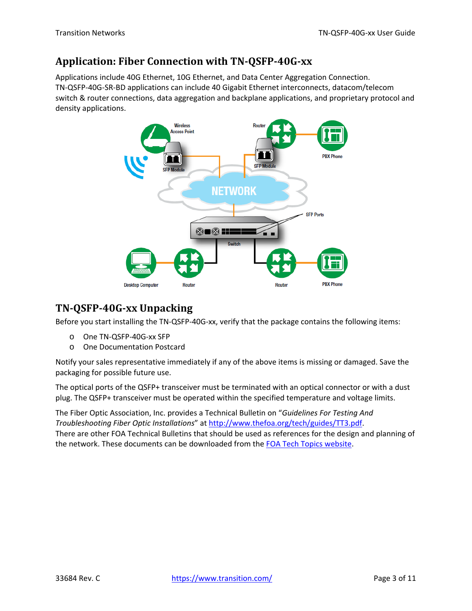## **Application: Fiber Connection with TN‐QSFP‐40G‐xx**

Applications include 40G Ethernet, 10G Ethernet, and Data Center Aggregation Connection. TN‐QSFP‐40G‐SR‐BD applications can include 40 Gigabit Ethernet interconnects, datacom/telecom switch & router connections, data aggregation and backplane applications, and proprietary protocol and density applications.



## **TN‐QSFP‐40G‐xx Unpacking**

Before you start installing the TN‐QSFP‐40G‐xx, verify that the package contains the following items:

- o One TN‐QSFP‐40G‐xx SFP
- o One Documentation Postcard

Notify your sales representative immediately if any of the above items is missing or damaged. Save the packaging for possible future use.

The optical ports of the QSFP+ transceiver must be terminated with an optical connector or with a dust plug. The QSFP+ transceiver must be operated within the specified temperature and voltage limits.

The Fiber Optic Association, Inc. provides a Technical Bulletin on "*Guidelines For Testing And Troubleshooting Fiber Optic Installations*" at http://www.thefoa.org/tech/guides/TT3.pdf. There are other FOA Technical Bulletins that should be used as references for the design and planning of the network. These documents can be downloaded from the FOA Tech Topics website.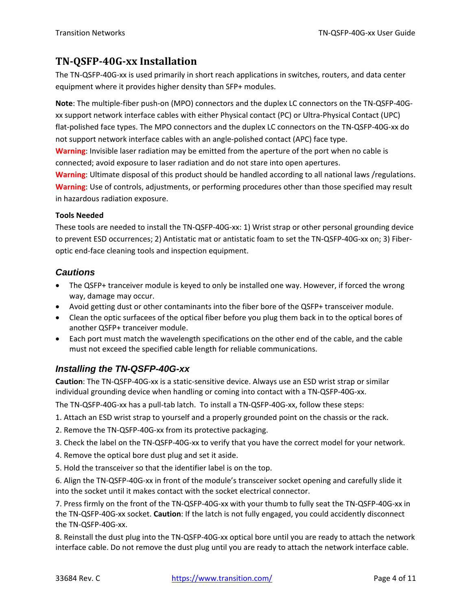### **TN‐QSFP‐40G‐xx Installation**

The TN‐QSFP‐40G‐xx is used primarily in short reach applications in switches, routers, and data center equipment where it provides higher density than SFP+ modules.

**Note**: The multiple‐fiber push‐on (MPO) connectors and the duplex LC connectors on the TN‐QSFP‐40G‐ xx support network interface cables with either Physical contact (PC) or Ultra‐Physical Contact (UPC) flat-polished face types. The MPO connectors and the duplex LC connectors on the TN-QSFP-40G-xx do not support network interface cables with an angle-polished contact (APC) face type.

**Warning**: Invisible laser radiation may be emitted from the aperture of the port when no cable is connected; avoid exposure to laser radiation and do not stare into open apertures.

**Warning**: Ultimate disposal of this product should be handled according to all national laws /regulations. **Warning**: Use of controls, adjustments, or performing procedures other than those specified may result in hazardous radiation exposure.

#### **Tools Needed**

These tools are needed to install the TN‐QSFP‐40G‐xx: 1) Wrist strap or other personal grounding device to prevent ESD occurrences; 2) Antistatic mat or antistatic foam to set the TN-QSFP-40G-xx on; 3) Fiberoptic end‐face cleaning tools and inspection equipment.

#### *Cautions*

- The QSFP+ tranceiver module is keyed to only be installed one way. However, if forced the wrong way, damage may occur.
- Avoid getting dust or other contaminants into the fiber bore of the QSFP+ transceiver module.
- Clean the optic surfacees of the optical fiber before you plug them back in to the optical bores of another QSFP+ tranceiver module.
- Each port must match the wavelength specifications on the other end of the cable, and the cable must not exceed the specified cable length for reliable communications.

### *Installing the TN-QSFP-40G-xx*

**Caution**: The TN‐QSFP‐40G‐xx is a static‐sensitive device. Always use an ESD wrist strap or similar individual grounding device when handling or coming into contact with a TN‐QSFP‐40G‐xx.

The TN-QSFP-40G-xx has a pull-tab latch. To install a TN-QSFP-40G-xx, follow these steps:

- 1. Attach an ESD wrist strap to yourself and a properly grounded point on the chassis or the rack.
- 2. Remove the TN‐QSFP‐40G‐xx from its protective packaging.
- 3. Check the label on the TN‐QSFP‐40G‐xx to verify that you have the correct model for your network.
- 4. Remove the optical bore dust plug and set it aside.
- 5. Hold the transceiver so that the identifier label is on the top.

6. Align the TN‐QSFP‐40G‐xx in front of the module's transceiver socket opening and carefully slide it into the socket until it makes contact with the socket electrical connector.

7. Press firmly on the front of the TN‐QSFP‐40G‐xx with your thumb to fully seat the TN‐QSFP‐40G‐xx in the TN‐QSFP‐40G‐xx socket. **Caution**: If the latch is not fully engaged, you could accidently disconnect the TN‐QSFP‐40G‐xx.

8. Reinstall the dust plug into the TN‐QSFP‐40G‐xx optical bore until you are ready to attach the network interface cable. Do not remove the dust plug until you are ready to attach the network interface cable.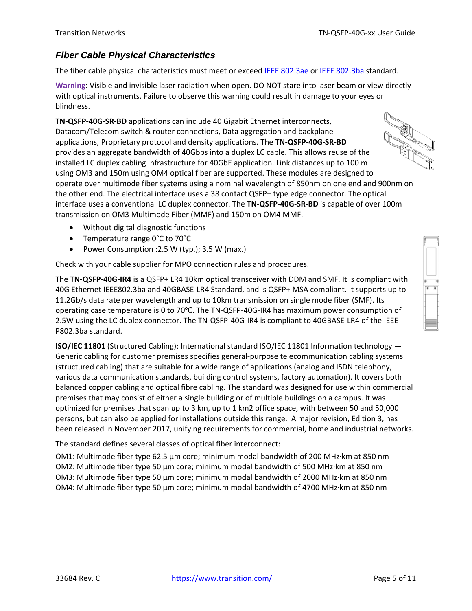### *Fiber Cable Physical Characteristics*

The fiber cable physical characteristics must meet or exceed IEEE 802.3ae or IEEE 802.3ba standard.

**Warning**: Visible and invisible laser radiation when open. DO NOT stare into laser beam or view directly with optical instruments. Failure to observe this warning could result in damage to your eyes or blindness.

**TN‐QSFP‐40G‐SR‐BD** applications can include 40 Gigabit Ethernet interconnects, Datacom/Telecom switch & router connections, Data aggregation and backplane applications, Proprietary protocol and density applications. The **TN‐QSFP‐40G‐SR‐BD** provides an aggregate bandwidth of 40Gbps into a duplex LC cable. This allows reuse of the installed LC duplex cabling infrastructure for 40GbE application. Link distances up to 100 m using OM3 and 150m using OM4 optical fiber are supported. These modules are designed to operate over multimode fiber systems using a nominal wavelength of 850nm on one end and 900nm on the other end. The electrical interface uses a 38 contact QSFP+ type edge connector. The optical interface uses a conventional LC duplex connector. The **TN‐QSFP‐40G‐SR‐BD** is capable of over 100m transmission on OM3 Multimode Fiber (MMF) and 150m on OM4 MMF.

- Without digital diagnostic functions
- Temperature range 0°C to 70°C
- Power Consumption :2.5 W (typ.); 3.5 W (max.)

Check with your cable supplier for MPO connection rules and procedures.

The **TN‐QSFP‐40G‐IR4** is a QSFP+ LR4 10km optical transceiver with DDM and SMF. It is compliant with 40G Ethernet IEEE802.3ba and 40GBASE‐LR4 Standard, and is QSFP+ MSA compliant. It supports up to 11.2Gb/s data rate per wavelength and up to 10km transmission on single mode fiber (SMF). Its operating case temperature is 0 to 70°C. The TN-QSFP-40G-IR4 has maximum power consumption of 2.5W using the LC duplex connector. The TN‐QSFP‐40G‐IR4 is compliant to 40GBASE‐LR4 of the IEEE P802.3ba standard.

**ISO/IEC 11801** (Structured Cabling): International standard ISO/IEC 11801 Information technology — Generic cabling for customer premises specifies general‐purpose telecommunication cabling systems (structured cabling) that are suitable for a wide range of applications (analog and ISDN telephony, various data communication standards, building control systems, factory automation). It covers both balanced copper cabling and optical fibre cabling. The standard was designed for use within commercial premises that may consist of either a single building or of multiple buildings on a campus. It was optimized for premises that span up to 3 km, up to 1 km2 office space, with between 50 and 50,000 persons, but can also be applied for installations outside this range. A major revision, Edition 3, has been released in November 2017, unifying requirements for commercial, home and industrial networks.

The standard defines several classes of optical fiber interconnect:

OM1: Multimode fiber type 62.5 µm core; minimum modal bandwidth of 200 MHz∙km at 850 nm OM2: Multimode fiber type 50 µm core; minimum modal bandwidth of 500 MHz∙km at 850 nm OM3: Multimode fiber type 50 µm core; minimum modal bandwidth of 2000 MHz∙km at 850 nm OM4: Multimode fiber type 50 µm core; minimum modal bandwidth of 4700 MHz∙km at 850 nm

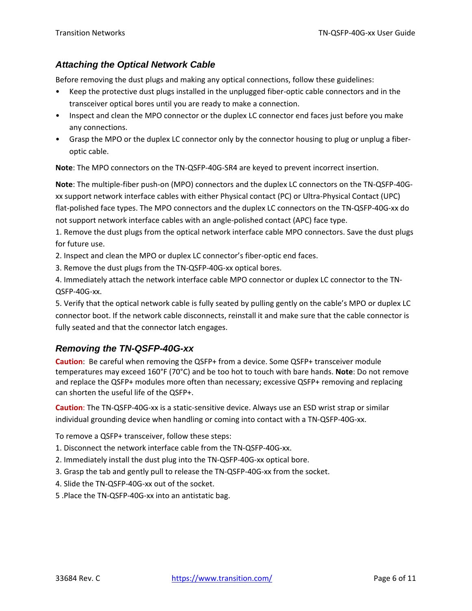#### *Attaching the Optical Network Cable*

Before removing the dust plugs and making any optical connections, follow these guidelines:

- Keep the protective dust plugs installed in the unplugged fiber‐optic cable connectors and in the transceiver optical bores until you are ready to make a connection.
- Inspect and clean the MPO connector or the duplex LC connector end faces just before you make any connections.
- Grasp the MPO or the duplex LC connector only by the connector housing to plug or unplug a fiberoptic cable.

**Note**: The MPO connectors on the TN‐QSFP‐40G‐SR4 are keyed to prevent incorrect insertion.

**Note**: The multiple‐fiber push‐on (MPO) connectors and the duplex LC connectors on the TN‐QSFP‐40G‐ xx support network interface cables with either Physical contact (PC) or Ultra‐Physical Contact (UPC) flat-polished face types. The MPO connectors and the duplex LC connectors on the TN-QSFP-40G-xx do not support network interface cables with an angle-polished contact (APC) face type.

1. Remove the dust plugs from the optical network interface cable MPO connectors. Save the dust plugs for future use.

2. Inspect and clean the MPO or duplex LC connector's fiber‐optic end faces.

3. Remove the dust plugs from the TN‐QSFP‐40G‐xx optical bores.

4. Immediately attach the network interface cable MPO connector or duplex LC connector to the TN‐ QSFP‐40G‐xx.

5. Verify that the optical network cable is fully seated by pulling gently on the cable's MPO or duplex LC connector boot. If the network cable disconnects, reinstall it and make sure that the cable connector is fully seated and that the connector latch engages.

### *Removing the TN-QSFP-40G-xx*

**Caution**: Be careful when removing the QSFP+ from a device. Some QSFP+ transceiver module temperatures may exceed 160°F (70°C) and be too hot to touch with bare hands. **Note**: Do not remove and replace the QSFP+ modules more often than necessary; excessive QSFP+ removing and replacing can shorten the useful life of the QSFP+.

**Caution**: The TN‐QSFP‐40G‐xx is a static‐sensitive device. Always use an ESD wrist strap or similar individual grounding device when handling or coming into contact with a TN‐QSFP‐40G‐xx.

To remove a QSFP+ transceiver, follow these steps:

- 1. Disconnect the network interface cable from the TN‐QSFP‐40G‐xx.
- 2. Immediately install the dust plug into the TN‐QSFP‐40G‐xx optical bore.
- 3. Grasp the tab and gently pull to release the TN‐QSFP‐40G‐xx from the socket.
- 4. Slide the TN‐QSFP‐40G‐xx out of the socket.
- 5 .Place the TN‐QSFP‐40G‐xx into an antistatic bag.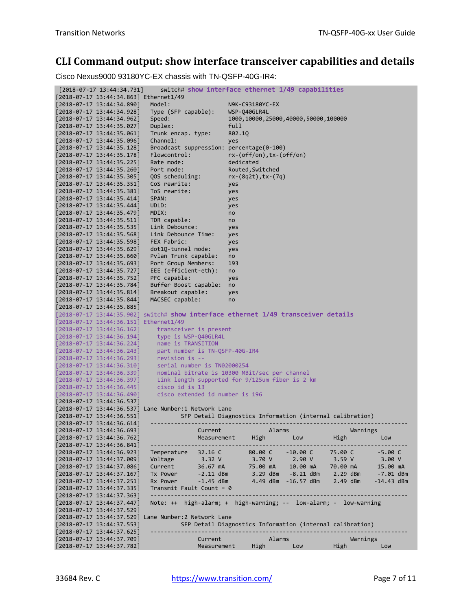## **CLI Command output: show interface transceiver capabilities and details**

Cisco Nexus9000 93180YC-EX chassis with TN-QSFP-40G-IR4:

| $[2018-07-17 \t13:44:34.731]$                                  | switch# show interface ethernet 1/49 capabilities                                  |                                                           |                                          |          |              |            |          |              |  |
|----------------------------------------------------------------|------------------------------------------------------------------------------------|-----------------------------------------------------------|------------------------------------------|----------|--------------|------------|----------|--------------|--|
|                                                                | [2018-07-17 13:44:34.863] Ethernet1/49                                             |                                                           |                                          |          |              |            |          |              |  |
| [2018-07-17 13:44:34.890]                                      | Model:                                                                             |                                                           | N9K-C93180YC-EX                          |          |              |            |          |              |  |
| [2018-07-17 13:44:34.928]                                      | Type (SFP capable):                                                                |                                                           | WSP-Q40GLR4L                             |          |              |            |          |              |  |
| [2018-07-17 13:44:34.962]                                      | Speed:                                                                             |                                                           | 1000, 10000, 25000, 40000, 50000, 100000 |          |              |            |          |              |  |
| [2018-07-17 13:44:35.027]                                      | Duplex:                                                                            |                                                           | full                                     |          |              |            |          |              |  |
| [2018-07-17 13:44:35.061]                                      | Trunk encap. type:                                                                 |                                                           | 802.1Q                                   |          |              |            |          |              |  |
| [2018-07-17 13:44:35.096]                                      | Channel:                                                                           |                                                           | yes                                      |          |              |            |          |              |  |
| $[2018-07-17 \t13:44:35.128]$                                  | Broadcast suppression: percentage(0-100)                                           |                                                           |                                          |          |              |            |          |              |  |
| $[2018-07-17 \t13:44:35.178]$                                  | Flowcontrol:                                                                       |                                                           | $rx-(off/on), tx-(off/on)$               |          |              |            |          |              |  |
| $[2018-07-17 \t13:44:35.225]$                                  | Rate mode:                                                                         |                                                           | dedicated                                |          |              |            |          |              |  |
| $[2018-07-17 \t13:44:35.260]$                                  | Port mode:                                                                         |                                                           | Routed, Switched                         |          |              |            |          |              |  |
| $[2018-07-17 \t13:44:35.305]$                                  | QOS scheduling:                                                                    |                                                           | $rx-(8q2t), tx-(7q)$                     |          |              |            |          |              |  |
| [2018-07-17 13:44:35.351]                                      | CoS rewrite:                                                                       |                                                           | yes                                      |          |              |            |          |              |  |
| [2018-07-17 13:44:35.381]                                      | ToS rewrite:                                                                       |                                                           | yes                                      |          |              |            |          |              |  |
| $[2018-07-17 \t13:44:35.414]$                                  | SPAN:                                                                              |                                                           | yes                                      |          |              |            |          |              |  |
| $[2018-07-17 \t13:44:35.444]$                                  | UDLD:                                                                              |                                                           | yes                                      |          |              |            |          |              |  |
| $[2018-07-17 \t13:44:35.479]$                                  | MDIX:                                                                              |                                                           | no                                       |          |              |            |          |              |  |
| [2018-07-17 13:44:35.511]                                      | TDR capable:                                                                       |                                                           | no                                       |          |              |            |          |              |  |
| $[2018-07-17 \t13:44:35.535]$                                  | Link Debounce:                                                                     |                                                           | yes                                      |          |              |            |          |              |  |
| $[2018-07-17 \t13:44:35.568]$                                  | Link Debounce Time:                                                                |                                                           | yes                                      |          |              |            |          |              |  |
| [2018-07-17 13:44:35.598]                                      | FEX Fabric:                                                                        |                                                           | yes                                      |          |              |            |          |              |  |
| [2018-07-17 13:44:35.629]                                      | dot10-tunnel mode:                                                                 |                                                           | yes                                      |          |              |            |          |              |  |
| $[2018-07-17 \t13:44:35.660]$                                  | Pvlan Trunk capable:                                                               |                                                           | no                                       |          |              |            |          |              |  |
| $[2018-07-17 \t13:44:35.693]$                                  | Port Group Members:                                                                |                                                           | 193                                      |          |              |            |          |              |  |
| $[2018-07-17 \t13:44:35.727]$                                  | EEE (efficient-eth):                                                               |                                                           | no                                       |          |              |            |          |              |  |
| $[2018-07-17 \t13:44:35.752]$                                  | PFC capable:                                                                       |                                                           | yes                                      |          |              |            |          |              |  |
| [2018-07-17 13:44:35.784]                                      | Buffer Boost capable:                                                              |                                                           | no                                       |          |              |            |          |              |  |
| [2018-07-17 13:44:35.814]                                      | Breakout capable:                                                                  |                                                           | yes                                      |          |              |            |          |              |  |
| [2018-07-17 13:44:35.844]                                      | MACSEC capable:                                                                    |                                                           | no                                       |          |              |            |          |              |  |
| [2018-07-17 13:44:35.885]                                      |                                                                                    |                                                           |                                          |          |              |            |          |              |  |
|                                                                | [2018-07-17 13:44:35.902] switch# show interface ethernet 1/49 transceiver details |                                                           |                                          |          |              |            |          |              |  |
|                                                                | [2018-07-17 13:44:36.151] Ethernet1/49                                             |                                                           |                                          |          |              |            |          |              |  |
| $[2018-07-17 \t13:44:36.162]$                                  | transceiver is present                                                             |                                                           |                                          |          |              |            |          |              |  |
| $[2018-07-17 \ \ 13:44:36.194]$                                | type is WSP-Q40GLR4L                                                               |                                                           |                                          |          |              |            |          |              |  |
| $[2018-07-17 \t13:44:36.224]$                                  | name is TRANSITION                                                                 |                                                           |                                          |          |              |            |          |              |  |
| $[2018-07-17 \t13:44:36.243]$                                  | part number is TN-QSFP-40G-IR4<br>revision is --                                   |                                                           |                                          |          |              |            |          |              |  |
| $[2018-07-17 \t13:44:36.293]$                                  | serial number is TN02000254                                                        |                                                           |                                          |          |              |            |          |              |  |
| $[2018-07-17 \t13:44:36.310]$                                  | nominal bitrate is 10300 MBit/sec per channel                                      |                                                           |                                          |          |              |            |          |              |  |
| $[2018-07-17 \t13:44:36.339]$                                  | Link length supported for 9/125um fiber is 2 km                                    |                                                           |                                          |          |              |            |          |              |  |
| $[2018-07-17 \t13:44:36.397]$<br>$[2018-07-17 \t13:44:36.445]$ | cisco id is 13                                                                     |                                                           |                                          |          |              |            |          |              |  |
| $[2018 - 07 - 17 \ 13:44:36.490]$                              | cisco extended id number is 196                                                    |                                                           |                                          |          |              |            |          |              |  |
| [2018-07-17 13:44:36.537]                                      |                                                                                    |                                                           |                                          |          |              |            |          |              |  |
|                                                                | [2018-07-17 13:44:36.537] Lane Number:1 Network Lane                               |                                                           |                                          |          |              |            |          |              |  |
| [2018-07-17 13:44:36.551]                                      |                                                                                    | SFP Detail Diagnostics Information (internal calibration) |                                          |          |              |            |          |              |  |
| [2018-07-17 13:44:36.614]                                      | -----------                                                                        |                                                           |                                          |          |              |            |          |              |  |
| $[2018-07-17 \t13:44:36.693]$                                  |                                                                                    | Current                                                   |                                          | Alarms   |              |            | Warnings |              |  |
| [2018-07-17 13:44:36.762]                                      |                                                                                    | Measurement                                               |                                          | High     | Low          | High       |          | Low          |  |
| $[2018-07-17 13:44:36.841]$                                    |                                                                                    |                                                           |                                          |          |              |            |          |              |  |
| [2018-07-17 13:44:36.923]                                      | Temperature                                                                        | 32.16 C                                                   |                                          | 80.00 C  | $-10.00C$    | 75.00 C    |          | $-5.00C$     |  |
| [2018-07-17 13:44:37.009]                                      | Voltage                                                                            | 3.32 V                                                    |                                          | 3.70 V   | 2.90V        | 3.59 V     |          | 3.00V        |  |
| [2018-07-17 13:44:37.086]                                      | Current                                                                            | 36.67 mA                                                  |                                          | 75.00 mA | 10.00 mA     | 70.00 mA   |          | 15.00 mA     |  |
| [2018-07-17 13:44:37.167]                                      | Tx Power                                                                           | $-2.11$ dBm                                               |                                          | 3.29 dBm | $-8.21$ dBm  | 2.29 dBm   |          | -7.01 dBm    |  |
| $[2018-07-17 \t13:44:37.251]$                                  | Rx Power                                                                           | $-1.45$ dBm                                               |                                          | 4.49 dBm | $-16.57$ dBm | $2.49$ dBm |          | $-14.43$ dBm |  |
| $[2018-07-17 \t13:44:37.335]$                                  | $Transmit$ Fault Count = 0                                                         |                                                           |                                          |          |              |            |          |              |  |
| [2018-07-17 13:44:37.363]                                      |                                                                                    |                                                           |                                          |          |              |            |          |              |  |
| $[2018-07-17 \t13:44:37.447]$                                  | Note: ++ high-alarm; + high-warning; -- low-alarm; - low-warning                   |                                                           |                                          |          |              |            |          |              |  |
| [2018-07-17 13:44:37.529]                                      |                                                                                    |                                                           |                                          |          |              |            |          |              |  |
|                                                                | [2018-07-17 13:44:37.529] Lane Number:2 Network Lane                               |                                                           |                                          |          |              |            |          |              |  |
| [2018-07-17 13:44:37.553]                                      |                                                                                    | SFP Detail Diagnostics Information (internal calibration) |                                          |          |              |            |          |              |  |
| [2018-07-17 13:44:37.625]                                      |                                                                                    |                                                           |                                          |          |              |            |          |              |  |
| [2018-07-17 13:44:37.709]                                      |                                                                                    | Current                                                   |                                          | Alarms   |              |            | Warnings |              |  |
| [2018-07-17 13:44:37.782]                                      |                                                                                    | Measurement                                               |                                          | High     | Low          | High       |          | Low          |  |
|                                                                |                                                                                    |                                                           |                                          |          |              |            |          |              |  |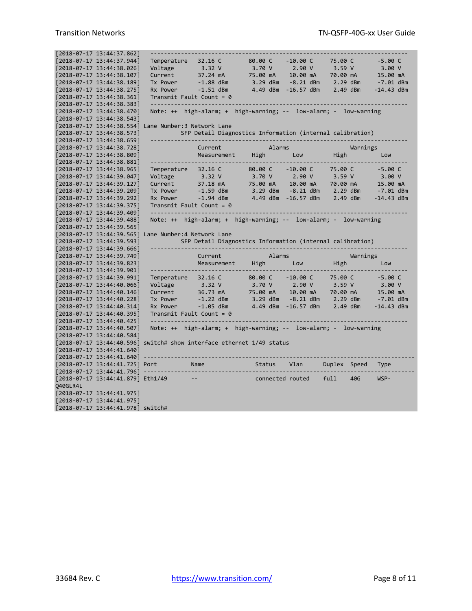|          | [2018-07-17 13:44:37.862]                                      |                                                                       |                                                                  |                  |              |            |              |              |  |
|----------|----------------------------------------------------------------|-----------------------------------------------------------------------|------------------------------------------------------------------|------------------|--------------|------------|--------------|--------------|--|
|          | [2018-07-17 13:44:37.944]                                      | Temperature                                                           | 32.16 C                                                          | 80.00 C          | $-10.00C$    | 75.00 C    |              | $-5.00C$     |  |
|          | [2018-07-17 13:44:38.026]                                      | Voltage                                                               | 3.32 V                                                           | 3.70 V           | 2.90V        | 3.59 V     |              | 3.00V        |  |
|          | $[2018-07-17 13:44:38.107]$                                    | Current                                                               | 37.24 mA                                                         | 75.00 mA         | 10.00 mA     | 70.00 mA   |              | 15.00 mA     |  |
|          | [2018-07-17 13:44:38.189]                                      | Tx Power                                                              | $-1.88$ dBm                                                      | 3.29 dBm         | $-8.21$ dBm  | 2.29 dBm   |              | $-7.01$ dBm  |  |
|          | $[2018-07-17 13:44:38.275]$                                    | Rx Power                                                              | $-1.51$ dBm                                                      | 4.49 dBm         | $-16.57$ dBm | 2.49 dBm   |              | $-14.43$ dBm |  |
|          | [2018-07-17 13:44:38.361]                                      | $Transmit$ Fault Count = 0                                            |                                                                  |                  |              |            |              |              |  |
|          | [2018-07-17 13:44:38.383]                                      |                                                                       |                                                                  |                  |              |            |              |              |  |
|          | $[2018-07-17 \t13:44:38.470]$                                  |                                                                       | Note: ++ high-alarm; + high-warning; -- low-alarm; - low-warning |                  |              |            |              |              |  |
|          | [2018-07-17 13:44:38.543]                                      |                                                                       |                                                                  |                  |              |            |              |              |  |
|          |                                                                | [2018-07-17 13:44:38.554] Lane Number:3 Network Lane                  |                                                                  |                  |              |            |              |              |  |
|          | [2018-07-17 13:44:38.573]                                      |                                                                       | SFP Detail Diagnostics Information (internal calibration)        |                  |              |            |              |              |  |
|          | $[2018-07-17 13:44:38.659]$                                    |                                                                       |                                                                  |                  |              |            |              |              |  |
|          | [2018-07-17 13:44:38.728]                                      |                                                                       | Current                                                          | Alarms           |              |            | Warnings     |              |  |
|          | $[2018-07-17 13:44:38.809]$                                    |                                                                       | Measurement                                                      | High             | Low          | High       |              | Low          |  |
|          | [2018-07-17 13:44:38.881]                                      |                                                                       |                                                                  |                  |              |            |              |              |  |
|          | [2018-07-17 13:44:38.965]                                      | Temperature                                                           | 32.16 C                                                          | 80.00 C          | $-10.00C$    | 75.00 C    |              | $-5.00C$     |  |
|          | $[2018-07-17 \t13:44:39.047]$                                  | Voltage                                                               | 3.32 V                                                           | 3.70 V           | 2.90V        | 3.59V      |              | 3.00V        |  |
|          | [2018-07-17 13:44:39.127]                                      | Current                                                               | 37.18 mA                                                         | 75.00 mA         | 10.00 mA     | 70.00 mA   |              | 15.00 mA     |  |
|          | [2018-07-17 13:44:39.209]                                      | Tx Power                                                              | $-1.59$ dBm                                                      | 3.29 dBm         | $-8.21$ dBm  | 2.29 dBm   |              | $-7.01$ dBm  |  |
|          | [2018-07-17 13:44:39.292]                                      | Rx Power                                                              | $-1.94$ dBm                                                      | 4.49 dBm         | $-16.57$ dBm | 2.49 dBm   |              | $-14.43$ dBm |  |
|          | [2018-07-17 13:44:39.375]                                      | Transmit Fault Count = $\theta$                                       |                                                                  |                  |              |            |              |              |  |
|          | [2018-07-17 13:44:39.409]                                      |                                                                       |                                                                  |                  |              |            |              |              |  |
|          | [2018-07-17 13:44:39.488]                                      |                                                                       | Note: ++ high-alarm; + high-warning; -- low-alarm; - low-warning |                  |              |            |              |              |  |
|          |                                                                |                                                                       |                                                                  |                  |              |            |              |              |  |
|          |                                                                |                                                                       |                                                                  |                  |              |            |              |              |  |
|          | [2018-07-17 13:44:39.565]                                      |                                                                       |                                                                  |                  |              |            |              |              |  |
|          | [2018-07-17 13:44:39.565]                                      | Lane Number: 4 Network Lane                                           |                                                                  |                  |              |            |              |              |  |
|          | [2018-07-17 13:44:39.593]                                      |                                                                       | SFP Detail Diagnostics Information (internal calibration)        |                  |              |            |              |              |  |
|          | [2018-07-17 13:44:39.666]                                      |                                                                       |                                                                  |                  |              |            |              |              |  |
|          | [2018-07-17 13:44:39.749]                                      |                                                                       | Current                                                          | Alarms           |              |            | Warnings     |              |  |
|          | [2018-07-17 13:44:39.823]                                      |                                                                       | Measurement                                                      | High             | Low          | High       |              | Low          |  |
|          | [2018-07-17 13:44:39.901]                                      |                                                                       |                                                                  |                  |              |            |              |              |  |
|          | [2018-07-17 13:44:39.991]                                      | Temperature                                                           | 32.16 C                                                          | 80.00 C          | $-10.00C$    | 75.00 C    |              | $-5.00C$     |  |
|          | [2018-07-17 13:44:40.066]                                      | Voltage                                                               | 3.32 V                                                           | 3.70 V           | 2.90V        | 3.59 V     |              | 3.00V        |  |
|          | [2018-07-17 13:44:40.146]                                      | Current                                                               | 36.73 mA                                                         | 75.00 mA         | 10.00 mA     | 70.00 mA   |              | 15.00 mA     |  |
|          | $[2018-07-17 \t13:44:40.228]$                                  | Tx Power                                                              | $-1.22$ dBm                                                      | 3.29 dBm         | $-8.21$ dBm  | 2.29 dBm   |              | $-7.01$ dBm  |  |
|          | [2018-07-17 13:44:40.314]                                      | Rx Power                                                              | $-1.05$ dBm                                                      | 4.49 dBm         | $-16.57$ dBm | $2.49$ dBm |              | $-14.43$ dBm |  |
|          | [2018-07-17 13:44:40.395]                                      | Transmit Fault Count = $\theta$                                       |                                                                  |                  |              |            |              |              |  |
|          | [2018-07-17 13:44:40.425]                                      | ------------------                                                    |                                                                  |                  |              |            |              |              |  |
|          | $[2018-07-17 13:44:40.507]$                                    |                                                                       | Note: ++ high-alarm; + high-warning; -- low-alarm; - low-warning |                  |              |            |              |              |  |
|          | $[2018-07-17 13:44:40.584]$                                    |                                                                       |                                                                  |                  |              |            |              |              |  |
|          |                                                                | [2018-07-17 13:44:40.596] switch# show interface ethernet 1/49 status |                                                                  |                  |              |            |              |              |  |
|          | [2018-07-17 13:44:41.640]                                      |                                                                       |                                                                  |                  |              |            |              |              |  |
|          | [2018-07-17 13:44:41.640]                                      |                                                                       |                                                                  |                  |              |            |              |              |  |
|          | [2018-07-17 13:44:41.725] Port                                 |                                                                       | Name                                                             | Status           | Vlan         |            | Duplex Speed | <b>Type</b>  |  |
|          | $[2018-07-17 13:44:41.796]$ -                                  |                                                                       |                                                                  |                  |              |            |              |              |  |
|          | [2018-07-17 13:44:41.879] Eth1/49                              | $- -$                                                                 |                                                                  | connected routed |              | full       | 40G          | WSP-         |  |
| Q40GLR4L |                                                                |                                                                       |                                                                  |                  |              |            |              |              |  |
|          | $[2018-07-17 13:44:41.975]$                                    |                                                                       |                                                                  |                  |              |            |              |              |  |
|          | [2018-07-17 13:44:41.975]<br>[2018-07-17 13:44:41.978] switch# |                                                                       |                                                                  |                  |              |            |              |              |  |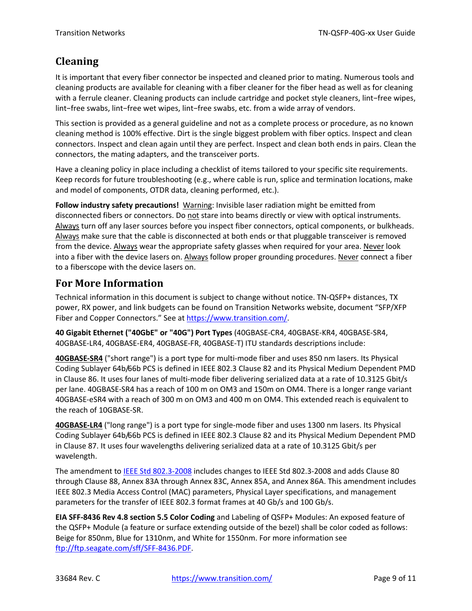## **Cleaning**

It is important that every fiber connector be inspected and cleaned prior to mating. Numerous tools and cleaning products are available for cleaning with a fiber cleaner for the fiber head as well as for cleaning with a ferrule cleaner. Cleaning products can include cartridge and pocket style cleaners, lint−free wipes, lint−free swabs, lint−free wet wipes, lint−free swabs, etc. from a wide array of vendors.

This section is provided as a general guideline and not as a complete process or procedure, as no known cleaning method is 100% effective. Dirt is the single biggest problem with fiber optics. Inspect and clean connectors. Inspect and clean again until they are perfect. Inspect and clean both ends in pairs. Clean the connectors, the mating adapters, and the transceiver ports.

Have a cleaning policy in place including a checklist of items tailored to your specific site requirements. Keep records for future troubleshooting (e.g., where cable is run, splice and termination locations, make and model of components, OTDR data, cleaning performed, etc.).

**Follow industry safety precautions!** Warning: Invisible laser radiation might be emitted from disconnected fibers or connectors. Do not stare into beams directly or view with optical instruments. Always turn off any laser sources before you inspect fiber connectors, optical components, or bulkheads. Always make sure that the cable is disconnected at both ends or that pluggable transceiver is removed from the device. Always wear the appropriate safety glasses when required for your area. Never look into a fiber with the device lasers on. Always follow proper grounding procedures. Never connect a fiber to a fiberscope with the device lasers on.

## **For More Information**

Technical information in this document is subject to change without notice. TN‐QSFP+ distances, TX power, RX power, and link budgets can be found on Transition Networks website, document "SFP/XFP Fiber and Copper Connectors." See at https://www.transition.com/

**40 Gigabit Ethernet ("40GbE" or "40G") Port Types** (40GBASE‐CR4, 40GBASE‐KR4, 40GBASE‐SR4, 40GBASE‐LR4, 40GBASE‐ER4, 40GBASE‐FR, 40GBASE‐T) ITU standards descriptions include:

**40GBASE‐SR4** ("short range") is a port type for multi‐mode fiber and uses 850 nm lasers. Its Physical Coding Sublayer 64b/66b PCS is defined in IEEE 802.3 Clause 82 and its Physical Medium Dependent PMD in Clause 86. It uses four lanes of multi-mode fiber delivering serialized data at a rate of 10.3125 Gbit/s per lane. 40GBASE‐SR4 has a reach of 100 m on OM3 and 150m on OM4. There is a longer range variant 40GBASE‐eSR4 with a reach of 300 m on OM3 and 400 m on OM4. This extended reach is equivalent to the reach of 10GBASE‐SR.

**40GBASE‐LR4** ("long range") is a port type for single‐mode fiber and uses 1300 nm lasers. Its Physical Coding Sublayer 64b/66b PCS is defined in IEEE 802.3 Clause 82 and its Physical Medium Dependent PMD in Clause 87. It uses four wavelengths delivering serialized data at a rate of 10.3125 Gbit/s per wavelength.

The amendment to IEEE Std 802.3-2008 includes changes to IEEE Std 802.3-2008 and adds Clause 80 through Clause 88, Annex 83A through Annex 83C, Annex 85A, and Annex 86A. This amendment includes IEEE 802.3 Media Access Control (MAC) parameters, Physical Layer specifications, and management parameters for the transfer of IEEE 802.3 format frames at 40 Gb/s and 100 Gb/s.

**EIA SFF‐8436 Rev 4.8 section 5.5 Color Coding** and Labeling of QSFP+ Modules: An exposed feature of the QSFP+ Module (a feature or surface extending outside of the bezel) shall be color coded as follows: Beige for 850nm, Blue for 1310nm, and White for 1550nm. For more information see ftp://ftp.seagate.com/sff/SFF‐8436.PDF.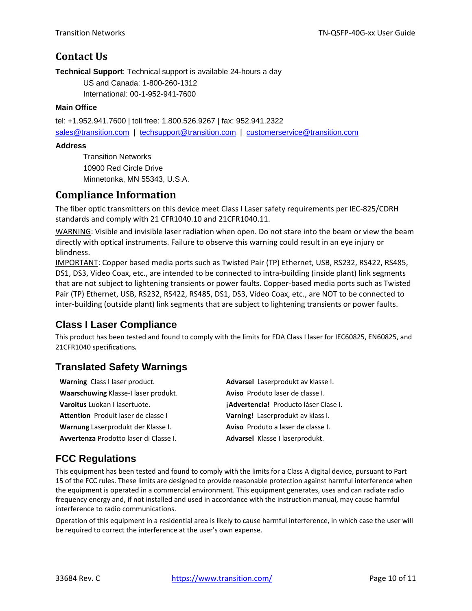## **Contact Us**

**Technical Support**: Technical support is available 24-hours a day

US and Canada: 1-800-260-1312 International: 00-1-952-941-7600

#### **Main Office**

tel: +1.952.941.7600 | toll free: 1.800.526.9267 | fax: 952.941.2322 sales@transition.com | techsupport@transition.com | customerservice@transition.com

#### **Address**

Transition Networks 10900 Red Circle Drive Minnetonka, MN 55343, U.S.A.

## **Compliance Information**

The fiber optic transmitters on this device meet Class I Laser safety requirements per IEC‐825/CDRH standards and comply with 21 CFR1040.10 and 21CFR1040.11.

WARNING: Visible and invisible laser radiation when open. Do not stare into the beam or view the beam directly with optical instruments. Failure to observe this warning could result in an eye injury or blindness.

IMPORTANT: Copper based media ports such as Twisted Pair (TP) Ethernet, USB, RS232, RS422, RS485, DS1, DS3, Video Coax, etc., are intended to be connected to intra-building (inside plant) link segments that are not subject to lightening transients or power faults. Copper‐based media ports such as Twisted Pair (TP) Ethernet, USB, RS232, RS422, RS485, DS1, DS3, Video Coax, etc., are NOT to be connected to inter-building (outside plant) link segments that are subject to lightening transients or power faults.

## **Class I Laser Compliance**

This product has been tested and found to comply with the limits for FDA Class I laser for IEC60825, EN60825, and 21CFR1040 specifications. 

## **Translated Safety Warnings**

| Warning Class I laser product.                | Advarsel Laserprodukt av klasse I.           |
|-----------------------------------------------|----------------------------------------------|
| Waarschuwing Klasse-I laser produkt.          | Aviso Produto laser de classe I.             |
| <b>Varoitus</b> Luokan I lasertuote.          | <b>¡Advertencia!</b> Producto láser Clase I. |
| Attention Produit laser de classe I           | Varning! Laserprodukt av klass I.            |
| Warnung Laserprodukt der Klasse I.            | Aviso Produto a laser de classe I.           |
| <b>Avvertenza</b> Prodotto laser di Classe I. | Advarsel Klasse I laserprodukt.              |

## **FCC Regulations**

This equipment has been tested and found to comply with the limits for a Class A digital device, pursuant to Part 15 of the FCC rules. These limits are designed to provide reasonable protection against harmful interference when the equipment is operated in a commercial environment. This equipment generates, uses and can radiate radio frequency energy and, if not installed and used in accordance with the instruction manual, may cause harmful interference to radio communications.

Operation of this equipment in a residential area is likely to cause harmful interference, in which case the user will be required to correct the interference at the user's own expense.